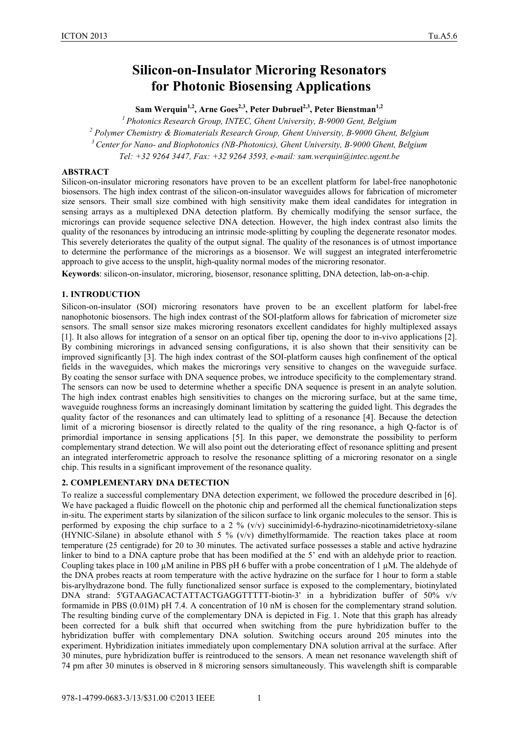# **Silicon-on-Insulator Microring Resonators for Photonic Biosensing Applications**

Sam Werquin<sup>1,2</sup>, Arne Goes<sup>2,3</sup>, Peter Dubruel<sup>2,3</sup>, Peter Bienstman<sup>1,2</sup>

*1 Photonics Research Group, INTEC, Ghent University, B-9000 Gent, Belgium <sup>2</sup> Polymer Chemistry & Biomaterials Research Group, Ghent University, B-9000 Ghent, Belgium 3 Center for Nano- and Biophotonics (NB-Photonics), Ghent University, B-9000 Ghent, Belgium Tel: +32 9264 3447, Fax: +32 9264 3593, e-mail: sam.werquin@intec.ugent.be*

## **ABSTRACT**

Silicon-on-insulator microring resonators have proven to be an excellent platform for label-free nanophotonic biosensors. The high index contrast of the silicon-on-insulator waveguides allows for fabrication of micrometer size sensors. Their small size combined with high sensitivity make them ideal candidates for integration in sensing arrays as a multiplexed DNA detection platform. By chemically modifying the sensor surface, the microrings can provide sequence selective DNA detection. However, the high index contrast also limits the quality of the resonances by introducing an intrinsic mode-splitting by coupling the degenerate resonator modes. This severely deteriorates the quality of the output signal. The quality of the resonances is of utmost importance to determine the performance of the microrings as a biosensor. We will suggest an integrated interferometric approach to give access to the unsplit, high-quality normal modes of the microring resonator.

**Keywords**: silicon-on-insulator, microring, biosensor, resonance splitting, DNA detection, lab-on-a-chip.

## **1. INTRODUCTION**

Silicon-on-insulator (SOI) microring resonators have proven to be an excellent platform for label-free nanophotonic biosensors. The high index contrast of the SOI-platform allows for fabrication of micrometer size sensors. The small sensor size makes microring resonators excellent candidates for highly multiplexed assays [1]. It also allows for integration of a sensor on an optical fiber tip, opening the door to in-vivo applications [2]. By combining microrings in advanced sensing configurations, it is also shown that their sensitivity can be improved significantly [3]. The high index contrast of the SOI-platform causes high confinement of the optical fields in the waveguides, which makes the microrings very sensitive to changes on the waveguide surface. By coating the sensor surface with DNA sequence probes, we introduce specificity to the complementary strand. The sensors can now be used to determine whether a specific DNA sequence is present in an analyte solution. The high index contrast enables high sensitivities to changes on the microring surface, but at the same time, waveguide roughness forms an increasingly dominant limitation by scattering the guided light. This degrades the quality factor of the resonances and can ultimately lead to splitting of a resonance [4]. Because the detection limit of a microring biosensor is directly related to the quality of the ring resonance, a high Q-factor is of primordial importance in sensing applications [5]. In this paper, we demonstrate the possibility to perform complementary strand detection. We will also point out the deteriorating effect of resonance splitting and present an integrated interferometric approach to resolve the resonance splitting of a microring resonator on a single chip. This results in a significant improvement of the resonance quality.

### **2. COMPLEMENTARY DNA DETECTION**

To realize a successful complementary DNA detection experiment, we followed the procedure described in [6]. We have packaged a fluidic flowcell on the photonic chip and performed all the chemical functionalization steps in-situ. The experiment starts by silanization of the silicon surface to link organic molecules to the sensor. This is performed by exposing the chip surface to a 2 % (v/v) succinimidyl-6-hydrazino-nicotinamidetrietoxy-silane (HYNIC-Silane) in absolute ethanol with 5 % ( $v/v$ ) dimethylformamide. The reaction takes place at room temperature (25 centigrade) for 20 to 30 minutes. The activated surface possesses a stable and active hydrazine linker to bind to a DNA capture probe that has been modified at the 5' end with an aldehyde prior to reaction. Coupling takes place in 100 µM aniline in PBS pH 6 buffer with a probe concentration of 1 µM. The aldehyde of the DNA probes reacts at room temperature with the active hydrazine on the surface for 1 hour to form a stable bis-arylhydrazone bond. The fully functionalized sensor surface is exposed to the complementary, biotinylated DNA strand: 5'GTAAGACACTATTACTGAGGTTTTT-biotin-3' in a hybridization buffer of 50% v/v formamide in PBS (0.01M) pH 7.4. A concentration of 10 nM is chosen for the complementary strand solution. The resulting binding curve of the complementary DNA is depicted in Fig. 1. Note that this graph has already been corrected for a bulk shift that occurred when switching from the pure hybridization buffer to the hybridization buffer with complementary DNA solution. Switching occurs around 205 minutes into the experiment. Hybridization initiates immediately upon complementary DNA solution arrival at the surface. After 30 minutes, pure hybridization buffer is reintroduced to the sensors. A mean net resonance wavelength shift of 74 pm after 30 minutes is observed in 8 microring sensors simultaneously. This wavelength shift is comparable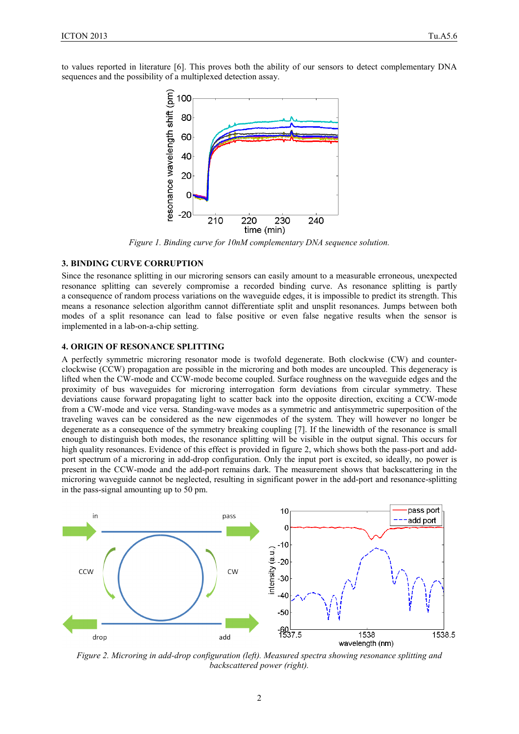to values reported in literature [6]. This proves both the ability of our sensors to detect complementary DNA sequences and the possibility of a multiplexed detection assay.



*Figure 1. Binding curve for 10nM complementary DNA sequence solution.*

### **3. BINDING CURVE CORRUPTION**

Since the resonance splitting in our microring sensors can easily amount to a measurable erroneous, unexpected resonance splitting can severely compromise a recorded binding curve. As resonance splitting is partly a consequence of random process variations on the waveguide edges, it is impossible to predict its strength. This means a resonance selection algorithm cannot differentiate split and unsplit resonances. Jumps between both modes of a split resonance can lead to false positive or even false negative results when the sensor is implemented in a lab-on-a-chip setting.

#### **4. ORIGIN OF RESONANCE SPLITTING**

A perfectly symmetric microring resonator mode is twofold degenerate. Both clockwise (CW) and counterclockwise (CCW) propagation are possible in the microring and both modes are uncoupled. This degeneracy is lifted when the CW-mode and CCW-mode become coupled. Surface roughness on the waveguide edges and the proximity of bus waveguides for microring interrogation form deviations from circular symmetry. These deviations cause forward propagating light to scatter back into the opposite direction, exciting a CCW-mode from a CW-mode and vice versa. Standing-wave modes as a symmetric and antisymmetric superposition of the traveling waves can be considered as the new eigenmodes of the system. They will however no longer be degenerate as a consequence of the symmetry breaking coupling [7]. If the linewidth of the resonance is small enough to distinguish both modes, the resonance splitting will be visible in the output signal. This occurs for high quality resonances. Evidence of this effect is provided in figure 2, which shows both the pass-port and addport spectrum of a microring in add-drop configuration. Only the input port is excited, so ideally, no power is present in the CCW-mode and the add-port remains dark. The measurement shows that backscattering in the microring waveguide cannot be neglected, resulting in significant power in the add-port and resonance-splitting in the pass-signal amounting up to 50 pm.



*Figure 2. Microring in add-drop configuration (left). Measured spectra showing resonance splitting and backscattered power (right).*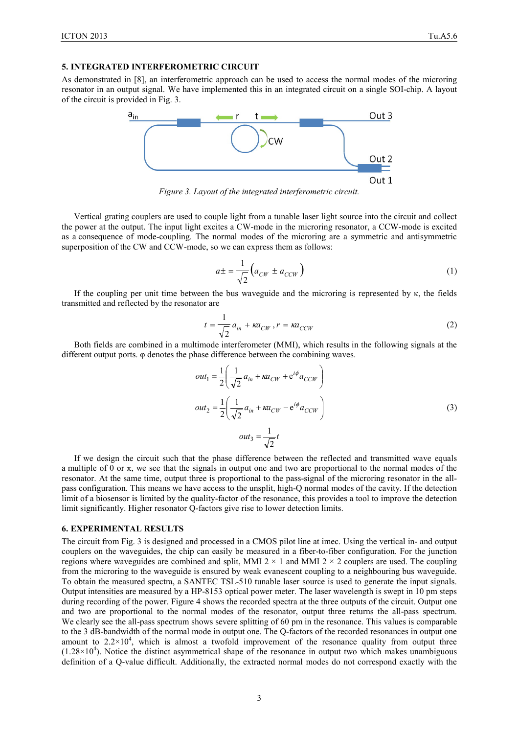As demonstrated in [8], an interferometric approach can be used to access the normal modes of the microring resonator in an output signal. We have implemented this in an integrated circuit on a single SOI-chip. A layout of the circuit is provided in Fig. 3.



*Figure 3. Layout of the integrated interferometric circuit.*

Vertical grating couplers are used to couple light from a tunable laser light source into the circuit and collect the power at the output. The input light excites a CW-mode in the microring resonator, a CCW-mode is excited as a consequence of mode-coupling. The normal modes of the microring are a symmetric and antisymmetric superposition of the CW and CCW-mode, so we can express them as follows:

$$
a \pm \frac{1}{\sqrt{2}} \left( a_{CW} \pm a_{CCW} \right) \tag{1}
$$

If the coupling per unit time between the bus waveguide and the microring is represented by κ, the fields transmitted and reflected by the resonator are

$$
t = \frac{1}{\sqrt{2}} a_{in} + \kappa a_{CW}, r = \kappa a_{CCW}
$$
 (2)

Both fields are combined in a multimode interferometer (MMI), which results in the following signals at the different output ports. φ denotes the phase difference between the combining waves.

$$
out_1 = \frac{1}{2} \left( \frac{1}{\sqrt{2}} a_{in} + \kappa a_{CW} + e^{i\phi} a_{CCW} \right)
$$
  

$$
out_2 = \frac{1}{2} \left( \frac{1}{\sqrt{2}} a_{in} + \kappa a_{CW} - e^{i\phi} a_{CCW} \right)
$$
  

$$
out_3 = \frac{1}{\sqrt{2}} t
$$
 (3)

If we design the circuit such that the phase difference between the reflected and transmitted wave equals a multiple of 0 or  $\pi$ , we see that the signals in output one and two are proportional to the normal modes of the resonator. At the same time, output three is proportional to the pass-signal of the microring resonator in the allpass configuration. This means we have access to the unsplit, high-Q normal modes of the cavity. If the detection limit of a biosensor is limited by the quality-factor of the resonance, this provides a tool to improve the detection limit significantly. Higher resonator Q-factors give rise to lower detection limits.

#### **6. EXPERIMENTAL RESULTS**

The circuit from Fig. 3 is designed and processed in a CMOS pilot line at imec. Using the vertical in- and output couplers on the waveguides, the chip can easily be measured in a fiber-to-fiber configuration. For the junction regions where waveguides are combined and split, MMI  $2 \times 1$  and MMI  $2 \times 2$  couplers are used. The coupling from the microring to the waveguide is ensured by weak evanescent coupling to a neighbouring bus waveguide. To obtain the measured spectra, a SANTEC TSL-510 tunable laser source is used to generate the input signals. Output intensities are measured by a HP-8153 optical power meter. The laser wavelength is swept in 10 pm steps during recording of the power. Figure 4 shows the recorded spectra at the three outputs of the circuit. Output one and two are proportional to the normal modes of the resonator, output three returns the all-pass spectrum. We clearly see the all-pass spectrum shows severe splitting of 60 pm in the resonance. This values is comparable to the 3 dB-bandwidth of the normal mode in output one. The Q-factors of the recorded resonances in output one amount to  $2.2 \times 10^4$ , which is almost a twofold improvement of the resonance quality from output three  $(1.28\times10^{4})$ . Notice the distinct asymmetrical shape of the resonance in output two which makes unambiguous definition of a Q-value difficult. Additionally, the extracted normal modes do not correspond exactly with the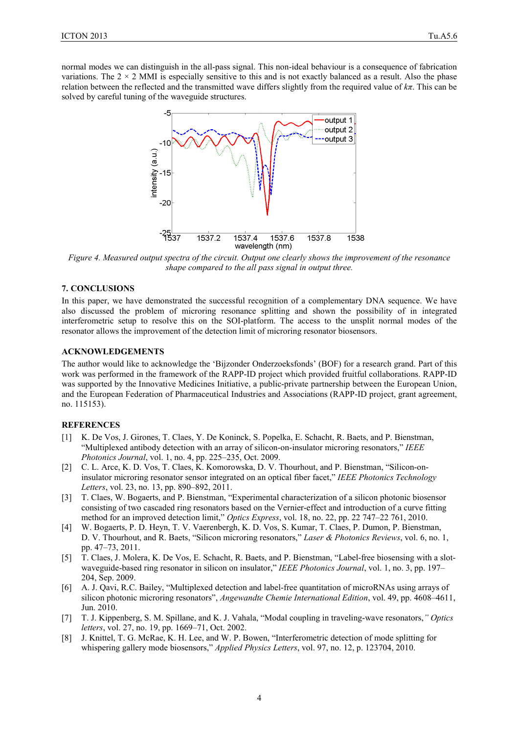normal modes we can distinguish in the all-pass signal. This non-ideal behaviour is a consequence of fabrication variations. The  $2 \times 2$  MMI is especially sensitive to this and is not exactly balanced as a result. Also the phase relation between the reflected and the transmitted wave differs slightly from the required value of *kπ*. This can be solved by careful tuning of the waveguide structures.



*Figure 4. Measured output spectra of the circuit. Output one clearly shows the improvement of the resonance shape compared to the all pass signal in output three.*

#### **7. CONCLUSIONS**

In this paper, we have demonstrated the successful recognition of a complementary DNA sequence. We have also discussed the problem of microring resonance splitting and shown the possibility of in integrated interferometric setup to resolve this on the SOI-platform. The access to the unsplit normal modes of the resonator allows the improvement of the detection limit of microring resonator biosensors.

#### **ACKNOWLEDGEMENTS**

The author would like to acknowledge the 'Bijzonder Onderzoeksfonds' (BOF) for a research grand. Part of this work was performed in the framework of the RAPP-ID project which provided fruitful collaborations. RAPP-ID was supported by the Innovative Medicines Initiative, a public-private partnership between the European Union, and the European Federation of Pharmaceutical Industries and Associations (RAPP-ID project, grant agreement, no. 115153).

#### **REFERENCES**

- [1] K. De Vos, J. Girones, T. Claes, Y. De Koninck, S. Popelka, E. Schacht, R. Baets, and P. Bienstman, "Multiplexed antibody detection with an array of silicon-on-insulator microring resonators," *IEEE Photonics Journal*, vol. 1, no. 4, pp. 225–235, Oct. 2009.
- [2] C. L. Arce, K. D. Vos, T. Claes, K. Komorowska, D. V. Thourhout, and P. Bienstman, "Silicon-oninsulator microring resonator sensor integrated on an optical fiber facet," *IEEE Photonics Technology Letters*, vol. 23, no. 13, pp. 890–892, 2011.
- [3] T. Claes, W. Bogaerts, and P. Bienstman, "Experimental characterization of a silicon photonic biosensor consisting of two cascaded ring resonators based on the Vernier-effect and introduction of a curve fitting method for an improved detection limit," *Optics Express*, vol. 18, no. 22, pp. 22 747–22 761, 2010.
- [4] W. Bogaerts, P. D. Heyn, T. V. Vaerenbergh, K. D. Vos, S. Kumar, T. Claes, P. Dumon, P. Bienstman, D. V. Thourhout, and R. Baets, "Silicon microring resonators," *Laser & Photonics Reviews*, vol. 6, no. 1, pp. 47–73, 2011.
- [5] T. Claes, J. Molera, K. De Vos, E. Schacht, R. Baets, and P. Bienstman, "Label-free biosensing with a slotwaveguide-based ring resonator in silicon on insulator," *IEEE Photonics Journal*, vol. 1, no. 3, pp. 197– 204, Sep. 2009.
- [6] A. J. Qavi, R.C. Bailey, "Multiplexed detection and label-free quantitation of microRNAs using arrays of silicon photonic microring resonators", *Angewandte Chemie International Edition*, vol. 49, pp. 4608–4611, Jun. 2010.
- [7] T. J. Kippenberg, S. M. Spillane, and K. J. Vahala, "Modal coupling in traveling-wave resonators,*" Optics letters*, vol. 27, no. 19, pp. 1669–71, Oct. 2002.
- [8] J. Knittel, T. G. McRae, K. H. Lee, and W. P. Bowen, "Interferometric detection of mode splitting for whispering gallery mode biosensors," *Applied Physics Letters*, vol. 97, no. 12, p. 123704, 2010.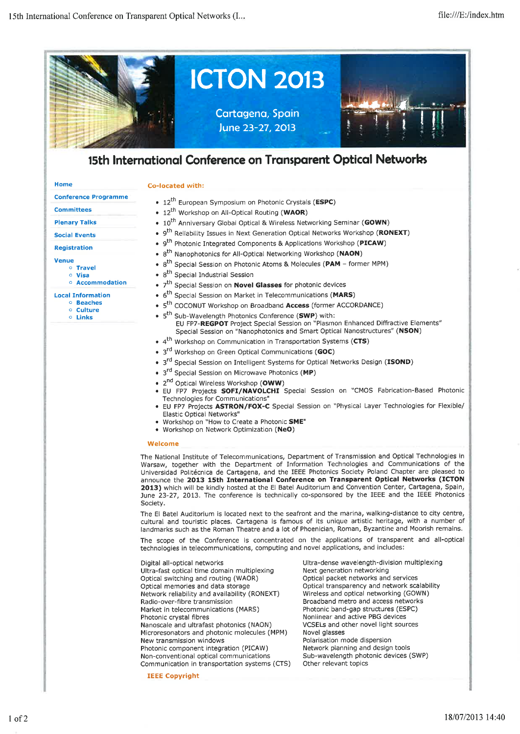

# 15th International Conference on Transparent Optical Networks

## Co-located with:

**Conference Programme** 

# **Committees**

Home

# **Plenary Talks**

# **Social Events**

## **Registration**

### **Venue**

- o Travel o Visa
- Accommodation

- **Local Information** o Beaches
	- o Culture
	- o Links
- 12<sup>th</sup> European Symposium on Photonic Crystals (ESPC)
- 12<sup>th</sup> Workshop on All-Optical Routing (WAOR)
- 10<sup>th</sup> Anniversary Global Optical & Wireless Networking Seminar (GOWN)
- 9<sup>th</sup> Reliability Issues in Next Generation Optical Networks Workshop (RONEXT)
- 9<sup>th</sup> Photonic Integrated Components & Applications Workshop (PICAW)
- 8<sup>th</sup> Nanophotonics for All-Optical Networking Workshop (NAON)
- 8<sup>th</sup> Special Session on Photonic Atoms & Molecules (PAM former MPM)
- 8<sup>th</sup> Special Industrial Session
- 7<sup>th</sup> Special Session on **Novel Glasses** for photonic devices
- 6<sup>th</sup> Special Session on Market in Telecommunications (MARS)
- 5<sup>th</sup> COCONUT Workshop on Broadband Access (former ACCORDANCE)
- 5<sup>th</sup> Sub-Wavelength Photonics Conference (SWP) with: EU FP7-REGPOT Project Special Session on "Plasmon Enhanced Diffractive Elements" Special Session on "Nanophotonics and Smart Optical Nanostructures" (NSON)
- 4<sup>th</sup> Workshop on Communication in Transportation Systems (CTS)
- 3<sup>rd</sup> Workshop on Green Optical Communications (GOC)
- 3<sup>rd</sup> Special Session on Intelligent Systems for Optical Networks Design (ISOND)
- 3<sup>rd</sup> Special Session on Microwave Photonics (MP)
- 2<sup>nd</sup> Optical Wireless Workshop (OWW)
- · EU FP7 Projects SOFI/NAVOLCHI Special Session on "CMOS Fabrication-Based Photonic Technologies for Communications'
- EU FP7 Projects ASTRON/FOX-C Special Session on "Physical Layer Technologies for Flexible/ Elastic Optical Networks"
- . Workshop on "How to Create a Photonic SME"
- · Workshop on Network Optimization (NeO)

#### Welcome

The National Institute of Telecommunications, Department of Transmission and Optical Technologies in Warsaw, together with the Department of Information Technologies and Communications of the Universidad Politécnica de Cartagena, and the IEEE Photonics Society Poland Chapter are pleased to announce the 2013 15th International Conference on Transparent Optical Networks (ICTON 2013) which will be kindly hosted at the El Batel Auditorium and Convention Center, Cartagena, Spain, June 23-27, 2013. The conference is technically co-sponsored by the IEEE and the IEEE Photonics Society

The El Batel Auditorium is located next to the seafront and the marina, walking-distance to city centre, cultural and touristic places. Cartagena is famous of its unique artistic heritage, with a number of landmarks such as the Roman Theatre and a lot of Phoenician, Roman, Byzantine and Moorish remains.

The scope of the Conference is concentrated on the applications of transparent and all-optical technologies in telecommunications, computing and novel applications, and includes:

| Digital all-optical networks                  |
|-----------------------------------------------|
| Ultra-fast optical time domain multiplexing   |
| Optical switching and routing (WAOR)          |
| Optical memories and data storage             |
| Network reliability and availability (RONEXT) |
| Radio-over-fibre transmission                 |
| Market in telecommunications (MARS)           |
| Photonic crystal fibres                       |
| Nanoscale and ultrafast photonics (NAON)      |
| Microresonators and photonic molecules (MPM)  |
| New transmission windows                      |
| Photonic component integration (PICAW)        |
| Non-conventional optical communications       |
| Communication in transportation systems (CTS) |

**IEEE Copyright** 

Ultra-dense wavelength-division multiplexing Next generation networking Optical packet networks and services Optical transparency and network scalability Wireless and optical networking (GOWN) Broadband metro and access networks Photonic band-gap structures (ESPC) Nonlinear and active PBG devices VCSELs and other novel light sources Novel glasses Polarisation mode dispersion Network planning and design tools Sub-wavelength photonic devices (SWP) Other relevant topics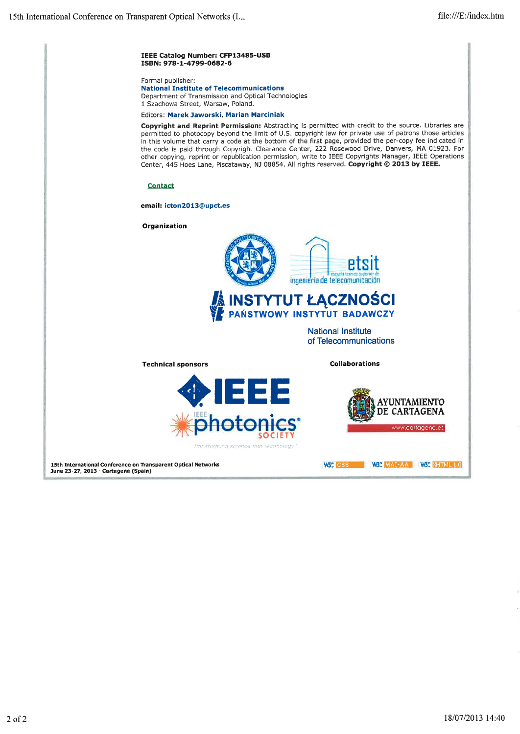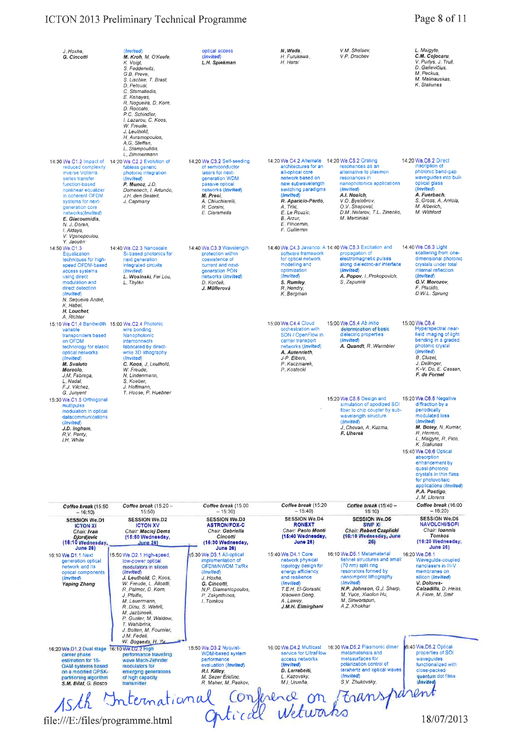# ICTON 2013 Preliminary Technical Programme

| J. Hoxha,<br>G. Cincotti                                                                                                                                                                                                                                       | (Invited)<br>M. Kroh, M. O'Keefe,<br>K. Voigt,<br>S. Fedderwitz.<br>G.B. Preve,<br>S. Lischke, T. Brast,<br>D. Petousi.<br>C. Stamatiadis,<br>E. Kehavas.<br>R. Nogueira, D. Korn,<br>D Roccato,<br>P.C. Schindler.<br>I Lazarou, C. Koos,<br>W. Freude.<br>J. Leuthold,<br>H. Avramopoulos,<br>A.G. Steffan,<br>L. Stampoulidis, | optical access<br>(Invited)<br>L.H. Spiekman                                                                                                                                                    | N. Wada<br>H. Furukawa,<br>H Harai                                                                                                                                                                                                                                      | V.M. Shalaev,<br>V.P. Drachev                                                                                                                                                                                                           | L. Maigyte,<br>C.M. Cojocaru,<br>V. Purlys, J. Trull,<br>D. Gailevičius,<br>M. Peckus,<br>M. Malinauskas,<br>K. Staliunas                                                                                                                                                                                                                                    |
|----------------------------------------------------------------------------------------------------------------------------------------------------------------------------------------------------------------------------------------------------------------|-----------------------------------------------------------------------------------------------------------------------------------------------------------------------------------------------------------------------------------------------------------------------------------------------------------------------------------|-------------------------------------------------------------------------------------------------------------------------------------------------------------------------------------------------|-------------------------------------------------------------------------------------------------------------------------------------------------------------------------------------------------------------------------------------------------------------------------|-----------------------------------------------------------------------------------------------------------------------------------------------------------------------------------------------------------------------------------------|--------------------------------------------------------------------------------------------------------------------------------------------------------------------------------------------------------------------------------------------------------------------------------------------------------------------------------------------------------------|
| reduced complexity<br><b>Inverse Volterra</b><br>series transfer<br>function-based<br>nonlinear equalizer<br>in coherent OFDM<br>systems for next-<br>generation core<br>networks(Invited)<br>E. Giacoumidis.<br>N. J. Doran,<br>I. Aldaya,<br>V. Vgenopoulou, | L. Zimmermann<br>14:30 We.C1.2 Impact of 14:20 We.C2.2 Evolution of<br>fabless generic<br>photonic integration<br>(Invited)<br>P. Munoz, J.D.<br>Domenech, I. Artundo,<br>J.H. den Bested,<br>J. Capmany                                                                                                                          | 14:20 We C3.2 Self-seeding<br>of semiconductor<br>lasers for next-<br>generation WDM<br>passive optical<br>networks (Invited)<br>M. Presi.<br>A. Chiuchiarelli,<br>R. Corsini.<br>E. Ciaramella | 14:20 We.C4.2 Alternate 14:20 We.C5.2 Grating<br>architectures for an<br>all-optical core<br>network based on<br>new subwavelength<br>switching paradigms<br>(Invited)<br>R. Aparicio-Pardo,<br>A. Triki,<br>E. Le Rouzic,<br>B. Arzur,<br>E. Pincemin,<br>F. Guillemin | resonances as an<br>alternative to plasmon<br>resonances in<br>nanophotonics applications<br>(Invited)<br>A.I. Nosich,<br>V.O. Byelobrov,<br>O.V. Shapoval,<br>D.M. Natarov, T.L. Zinenko,<br>M. Marciniak                              | 14:20 We.C6.2 Direct<br>inscription of<br>photonic band-gap<br>waveguides into bulk<br>oplical glass<br>(Invited)<br>A. Fuerbach,<br>S. Gross, A. Arriola,<br>M. Alberich.<br>M. Withford                                                                                                                                                                    |
| Y. Jaouën<br>14:50 We.C1.3<br>Equalization<br>techniques for high-<br>speed OFDM-based<br>access systems<br>using direct<br>modulation and<br>direct detection<br>(Invited)<br>N. Sequeira André,<br>K Habel,<br>H. Louchet.<br>A Richter                      | 14:40 We.C2.3 Nanoscale<br>Si-based photonics for<br>next generation<br>integrated circuits<br>(Invited)<br>L. Wosinski, Fei Lou,<br>L. Thylén                                                                                                                                                                                    | 14:40 We.C3.3 Wavelength<br>protection within<br>coexistence of<br>current and next-<br>generation PON<br>networks (Invited)<br>D. Korček,<br>J. Müllerová                                      | software framework<br>for optical network<br>modelling and<br>optimization<br>(Invited)<br>S. Rumley,<br>R. Hendry,<br>K. Bergman                                                                                                                                       | 14:40 We, C4.3 Javanco: A 14:40 We, C5.3 Excitation and<br>propagation of<br>electromagnetic pulses<br>along dielectric-air interface<br>(Invited)<br>A. Popov, I. Prokopovich,<br>S. Zapunidi                                          | 14:40 We.C6.3 Light<br>scattering from one-<br>dimensional photonic<br>crystals under total<br>internal reflection<br>$(Inv$ $\{led}$<br>G.V. Morozov.<br>F. Placido,<br>D.W.L. Sprung                                                                                                                                                                       |
| 15:10 We.C1.4 Bandwidth 15:00 We.C2.4 Photonic<br>variable<br>transponders based<br>on OFDM<br>technology for elastic<br>optical networks<br>(Invited)<br>M. Svaluto<br>Moreolo,<br>J.M. Fabrega,<br>L. Nadal.<br>F.J. Vilchez,                                | wire bonding:<br>Nanophotonic<br>interconnects<br>fabricated by direct-<br>write 3D lithography<br>(Invited)<br>C. Koos, J. Leuthold,<br>W. Freude,<br>N. Lindenmann,<br>S. Koeber,<br>J. Hoffmann,                                                                                                                               |                                                                                                                                                                                                 | 15:00 We.C4.4 Cloud<br>orchestration with<br>SDN / OpenFlow in<br>carrier transport<br>networks (Invited)<br>A. Autenrieth,<br>J-P. Elbers,<br>P. Kaczmarek,<br>P. Kostecki                                                                                             | 15:00 We C5.4 Ab initio<br>determination of basic<br>dielectric properties<br>(Invited)<br>A. Quandt, R. Warmbier                                                                                                                       | 15:00 We, C6,4<br>Hyperspectral near-<br>field imaging of light<br>bending in a graded<br>photonic crystal<br>(Invited)<br><b>B.</b> Cluzel.<br>J. Dellinger,<br>K-V. Do, E. Cassan,<br>F. de Fornel                                                                                                                                                         |
| G. Junyent<br>15:30 We, C1.5 Orthogonal<br>multipulse<br>modulation in optical<br>datacommunications<br>(Invited)<br>J.D. Ingham,<br>R.V. Penty,<br>I.H. White                                                                                                 | T. Hoose, P. Huebner                                                                                                                                                                                                                                                                                                              |                                                                                                                                                                                                 |                                                                                                                                                                                                                                                                         | 15:20 We.C5.5 Design and<br>simulation of apodized SOI<br>fiber to chip coupler by sub-<br>wavelength structure<br>(Invited)<br>J. Chovan, A. Kuzma,<br>F. Uherek                                                                       | 15:20 We.C6.5 Negative<br>diffraction by a<br>periodically<br>modulated loss<br>(Invited)<br>M. Botey, N. Kumar,<br>R. Herrero,<br>L, Maigyte, R, Pico,<br>K. Staliunas<br>15:40 We.C6.6 Optical<br>absorption<br>enhancement by<br>quasi-photonic<br>crystals in thin films<br>for photovoltaic<br>applications (Invited)<br>P.A. Postigo,<br>J. M. Llorens |
| Coffee break (15:50                                                                                                                                                                                                                                            | Coffee break (15:20 -                                                                                                                                                                                                                                                                                                             | Coffee break (15:00                                                                                                                                                                             | Coffee break (15:20                                                                                                                                                                                                                                                     | Coffee break (15:40 -                                                                                                                                                                                                                   | Coffee break (16:00                                                                                                                                                                                                                                                                                                                                          |
| $-16:10$<br><b>SESSION We.D1</b><br><b>ICTON XI</b><br>Chair: Ivan<br><b>Djordjevic</b><br>(18:10 Wednesday,<br><b>June 28)</b>                                                                                                                                | 15:50<br><b>SESSION We.D2</b><br><b>ICTON XV</b><br>Chair: Maciej Dems<br>(15:50 Wednesday,<br><b>June 26)</b>                                                                                                                                                                                                                    | $-15:30$<br><b>SESSION We.D3</b><br><b>ASTRON/FOX-C</b><br>Chair: Gabriella<br>Cincotti<br>(15:30 Wednesday,<br><b>June 26)</b>                                                                 | $-15:40$<br><b>SESSION We.D4</b><br><b>RONEXT</b><br>Chair: Paolo Monti<br>(15:40 Wednesday,<br><b>June 26)</b>                                                                                                                                                         | 16:10)<br><b>SESSION We.D5</b><br><b>SWP XI</b><br>Chair: Robert Czaplicki<br>(16:10 Wednesday, June<br>26)                                                                                                                             | $-16:20$<br><b>SESSION We.D6</b><br><b>NAVOLCHI/SOFI</b><br>Chair: Ioannis<br><b>Tomkos</b><br>(16:20 Wednesday,<br><b>June 26)</b>                                                                                                                                                                                                                          |
| 16:10 We.D1.1 Next<br>generation optical<br>network and its<br>optical components<br>(Invited)<br><b>Yaping Zhang</b>                                                                                                                                          | 15:50 We.D2.1 High-speed,<br>low-power optical<br>modulators in allicon<br>(invited)<br>J. Leuthold, C. Koos,<br>W. Freude, L. Alloatti,<br>R. Palmer, D. Korn,<br>J. Pfeifle,<br>M. Lauermann,<br>R. Dinu, S. Wehrli,<br>M. Jazbinsek,<br>P. Gunter, M. Waldow.<br>T. Wahlbrink,<br>J. Bolten, M. Fournier,<br>J.M. Fedeli,      | 15:30 We D3.1 All-optical<br>implementation of<br>OFDM/NWDM Tx/Rx<br>(Invited)<br>J. Hoxha,<br>G. Cincotti,<br>N.P. Diamantopoulos,<br>P. Zakynthinos,<br>I. Tomkos                             | 15:40 We.D4.1 Core<br>network physical<br>topology design for<br>energy efficiency<br>and resilience<br>(Invited)<br>T.E.H. El-Gorashi,<br>Xiaowen Dong,<br>A. Lawey.<br>J.M.H. Elmirghani                                                                              | 16:10 We.D5.1 Metamaterial<br>fishnet structures and small<br>(70 nm) split ring<br>resonators formed by<br>nanoimprint lithography<br>(Invited)<br>N.P. Johnson, G.J. Sharp,<br>M. Yuce, Xiaolon Hu,<br>M. Sinworapun,<br>A.Z. Khokhar | 16:20 We.D6.1<br>Wavegulde-coupled<br>nanolasers in III-V<br>membranes on<br>silicon (Invited)<br>V. Dolores-<br>Calzadilla, D. Heiss,<br>A. Fiore, M. Smit                                                                                                                                                                                                  |
| 16:20 We.D1.2 Dual stage 16:10 We.D2.2 High<br>carrier phase<br>estimation for 16-<br>QAM systems based<br>on a modified QPSK-<br>partitioning algorithm<br>S.M. Bilal, G. Bosco                                                                               | W. Bogaerts, H. Yu.<br>performance travelling<br>wave Mach-Zehnder<br>modulators for<br>emorging generations<br>of high capacity.<br>transmitter                                                                                                                                                                                  | 15:50 We.D3.2 Nyquist-<br>WDM-based system<br>performance<br>evaluation (Invited)<br>R.I. Killey.<br>M. Sezer Erkilinc,<br>R. Maher, M. Paskov,                                                 | service for UltraFlow<br>access networks<br>(Invited)<br>D. Larrabeiti,<br>L. Kazovsky,<br>M.I. Urueña,                                                                                                                                                                 | 16:00 We, D4.2 Multicast 16:30 We, D5,2 Plasmonic dimer<br>metamaterials and<br>metasurfaces for<br>polarization control of<br>terahertz and optical waves<br>(Invited)<br>S.V. Zhukovsky,                                              | 6:40 We.D6.2 Optical<br>properties of SOI<br>waveguides<br>functionalized with<br>close-packed<br>quantum dot films<br>(Invited)                                                                                                                                                                                                                             |

15th International Conference on Fransparent file:///E:/files/programme.html

18/07/2013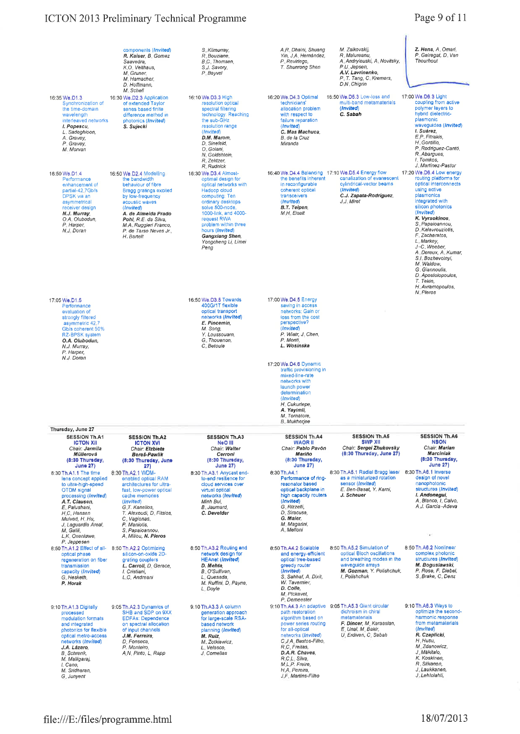# ICTON 2013 Preliminary Technical Programme

# Page 9 of 11

|                                                                                                                                                                                                                                                                                            | components (Invited)<br>R. Kaiser, B. Gomez<br>Saavedra,<br>K.O. Velthaus,<br>M. Gruner,<br>M. Hamacher,<br>D. Hoffmann,                                                                                                                                                               | S. Kilmurray.<br>R. Bouziane.<br><b>B.C. Thomsen.</b><br>S.J. Savory.<br>P Bayvel                                                                                                                                                                                                  | A.R. Dhaini, Shuang<br>Yin, J.A. Hernández,<br>P. Reviriego,<br>T. Shunrong Shen                                                                                                                                                                                                                                                                                                  | M. Zalkovskij,<br>R. Malureanu.<br>A. Andryieuski, A. Novitsky,<br>P U Jepsen,<br>A.V. Lavrinenko,<br>P. T. Tang, C. Kremers,<br>D.N. Chigrin                          | Z. Hens, A. Omari,<br>P. Geireaat, D. Van<br>Thourhout                                                                                                                                                                                                                                                                                                                                                                    |
|--------------------------------------------------------------------------------------------------------------------------------------------------------------------------------------------------------------------------------------------------------------------------------------------|----------------------------------------------------------------------------------------------------------------------------------------------------------------------------------------------------------------------------------------------------------------------------------------|------------------------------------------------------------------------------------------------------------------------------------------------------------------------------------------------------------------------------------------------------------------------------------|-----------------------------------------------------------------------------------------------------------------------------------------------------------------------------------------------------------------------------------------------------------------------------------------------------------------------------------------------------------------------------------|------------------------------------------------------------------------------------------------------------------------------------------------------------------------|---------------------------------------------------------------------------------------------------------------------------------------------------------------------------------------------------------------------------------------------------------------------------------------------------------------------------------------------------------------------------------------------------------------------------|
| 16:35 We.D1.3<br>Synchronization of<br>the time-domain<br>wavelength<br>interleaved networks<br>I. Popescu,<br>L. Sadeghioon,<br>A. Gravey,<br>P. Gravey,<br>M. Morvan                                                                                                                     | M. Schell<br>16:30 We.D2.3 Application<br>of extended Taylor<br>series based finite<br>difference method in<br>photonics (Invited)<br>S. Sujecki                                                                                                                                       | 16:10 We.D3.3 High<br>resolution optical<br>spectral filtering<br>technology: Reaching<br>the sub-GHz<br>resolution range<br>(Invited)<br>D.M. Marom.<br>D. Sinefeld,<br>O. Golani,<br>N. Goldshtein,<br>R. Zektzer,<br>R. Rudnick                                                 | 16:20 We, D4,3 Optimal<br>technicians'<br>allocation problem<br>with respect to<br>failure reparation<br>(Invited)<br>C. Mas Machuca,<br>B, de la Cruz<br>Miranda                                                                                                                                                                                                                 | 16:50 We.D5.3 Low-loss and<br>multi-band metamaterials<br>(Invited)<br>C. Sapah                                                                                        | 17:00 We.D6.3 Light<br>coupling from active<br>polymer layers to<br>hybrid dielectric-<br>plasmonic<br>waveguides (Invited)<br>I. Suárez.<br>E.P. Fitrakis,<br>H. Gordillo,<br>P Rodriguez-Cantó,<br>R. Abargues,<br>I. Tomkos,<br>J. Martinez-Pastor                                                                                                                                                                     |
| 16:50 We.D1.4<br>Performance<br>enhancement of<br>partial-42,7Gb/s<br>DPSK via an<br>asymmetrical<br>receiver design<br>N.J. Murray.<br>O.A. Olubodun,<br>P. Harper,<br>N.J. Doran                                                                                                         | 16:50 We.D2.4 Modelling<br>the bandwidth<br>behaviour of fibre<br>Bragg gratings excited<br>by low-frequency<br>acoustic waves<br>(Invited)<br>A. de Almeida Prado<br>Pohl, R.E. da Silva,<br>M.A. Ruggieri Franco,<br>P. de Tarso Neves Jr.,<br>H. Bartelt                            | 16:30 We.D3.4 Almost-<br>optimal design for<br>optical networks with<br>Hadoop cloud<br>computing: Ten<br>ordinary desktops<br>solve 500-node,<br>1000-link, and 4000-<br>request RWA<br>problem within three<br>hours (Invited)<br>Gangxiang Shen,<br>Yongcheng Li, Limei<br>Peng | 16:40 We.D4.4 Balancing 17:10 We.D5.4 Energy flow<br>the banefits inherent<br>in reconfigurable<br>coherent optical<br>transceivers<br>(Invited)<br>B.T. Teipen,<br>M.H. Eiselt                                                                                                                                                                                                   | canalization of evanescent<br>cylindrical-vector beams<br>(Invited)<br>C.J. Zapata-Rodríguez,<br>J.J. Miret                                                            | 17:20 We.D6.4 Low energy<br>routing platforms for<br>optical interconnects<br>using active<br>plasmonics<br>integrated with<br>silicon photonics<br>(Invited)<br>K. Vyrsokinos,<br>S. Papaioannou,<br>D. Kalavrouziotis,<br>F. Zacharatos,<br>L. Markey,<br>J-C. Weeber.<br>A. Dereux, A. Kumar,<br>S.I. Bozhevolnyi.<br>M. Waldow,<br>G. Giannoulis,<br>D. Apostolopoulos.<br>T. Tekin,<br>H. Avramopoulos,<br>N. Pleros |
| 17:05 We, D1.5<br>Performance<br>evaluation of<br>strongly filtered<br>asymmetric 42.7<br>Gb/s coherent 50%<br>RZ-BPSK system<br>O.A. Olubodun,<br>N.J. Murray,<br>P. Harper,<br>N.J. Doran                                                                                                |                                                                                                                                                                                                                                                                                        | 16:50 We.D3.5 Towards<br>400G/1T flexible<br>optical transport<br>networks (Invited)<br>E. Pincemin,<br>M. Song.<br>Y. Loussouarn,<br>G. Thouenon.<br>C. Betoule                                                                                                                   | 17:00 We, D4,5 Energy<br>saving in access<br>networks; Gain or<br>loss from the cost<br>perspective?<br>(Invited)<br>P. Wiatr, J. Chen,<br>P. Monti,<br>L. Wosinska<br>17:20 We.D4.6 Dynamic<br>traffic provisioning in<br>mixed-line-rate<br>networks with<br>launch power<br>determination<br>(Invited)<br>H. Cukurtepe,<br>A. Yayimli,<br>M. Tornatore,<br><b>B.</b> Mukherjee |                                                                                                                                                                        |                                                                                                                                                                                                                                                                                                                                                                                                                           |
| Thursday, June 27<br><b>SESSION Th.A1</b><br><b>ICTON XII</b><br>Chair: Jarmila<br>Müllerová                                                                                                                                                                                               | <b>SESSION Th.A2</b><br><b>ICTON XVI</b><br>Chair: Elzbieta<br>Bereś-Pawlik                                                                                                                                                                                                            | <b>SESSION Th.A3</b><br>NeO III<br>Chair: Walter<br>Cerroni                                                                                                                                                                                                                        | <b>SESSION Th.A4</b><br><b>WAOR II</b><br>Chair: Pablo Pavón<br>Mariño                                                                                                                                                                                                                                                                                                            | <b>SESSION Th.A5</b><br><b>SWP XII</b><br>Chair: Sergei Zhukovsky<br>(8:30 Thursday, June 27)                                                                          | <b>SESSION Th.A6</b><br><b>NSON</b><br>Chair: Marian<br><b>Marciniak</b>                                                                                                                                                                                                                                                                                                                                                  |
| (8:30 Thursday,<br><b>June 27)</b><br>8:30 Th.A1.1 The time<br>lens concept applied<br>to ultra-high-speed<br>OTDM signal<br>processing (Invited)<br>A.T. Clausen,<br>E. Palushani,<br>H.C. Hansen<br>Mulvad, H. Hu,<br>J. Laguardia Areal.<br>M. Galili,<br>L.K. Oxenløwe,<br>P. Jeppesen | (8:30 Thursday, June<br>27)<br>8:30 Th.A2.1 WDM-<br>enabled optical RAM<br>architectures for ultra-<br>fast, low-power optical<br>cache memories<br>(invited)<br>G.T. Kanellos,<br>T. Alexoudi, D. Fitsios,<br>C. Vagionas,<br>P. Maniotis,<br>S. Papaioannou,<br>A. Miliou, N. Pleros | (8:30 Thursday,<br><b>June 27)</b><br>8:30 Th.A3.1 Anycast end-<br>to-end resilience for<br>cloud services over<br>virtual optical<br>networks (Invited)<br>Minh Bui,<br>B. Jaumard,<br>C. Develder                                                                                | (8:30 Thursday,<br><b>June 27)</b><br>8:30 Th.A4.1<br>Performance of ring-<br>resonator based<br>optical backplane in<br>high capacity routers<br>(invited)<br>G. Rizzelli,<br>D. Siracusa.<br>G. Maier.<br>M. Magarini,<br>A. Melloni                                                                                                                                            | 8:30 Th.A5.1 Radial Bragg laser 8:30 Th.A6.1 Inverse<br>as a miniaturized rotation<br>sensor (Invited)<br>E. Ben-Basat, Y. Karni,<br>J. Scheuer                        | (8:30 Thursday,<br><b>June 27)</b><br>design of novel<br>nanophotonic<br>structures (Invited)<br>I. Andonegui,<br>A. Blanco, I. Calvo,<br>A.J. Garcia-Adeva<br>$\bullet$                                                                                                                                                                                                                                                  |
| 8:50 Th.A1.2 Effect of all-<br>optical phase<br>regeneration on fiber<br>transmission<br>capacity (Invited)<br>G. Hesketh,<br>P. Horak                                                                                                                                                     | 8:50 Th.A2.2 Optimizing<br>silicon-on-oxide 2D-<br>grating couplers<br>L. Carroll, D. Gerace,<br>I. Cristiani,<br>L.C. Andreani                                                                                                                                                        | 8:50 Th.A3.2 Routing and<br>network design for<br><b>HEAnet (Invited)</b><br>D. Mehta.<br>B. O'Sullivan,<br>L. Quesada,<br>M. Ruffini, D. Payne,<br>L. Doyle                                                                                                                       | 8:50 Th.A4.2 Scalable<br>and energy-efficient<br>optical tree-based<br>greedy router<br>(Invited)<br>S. Sahhaf, A. Dixit,<br>W. Tavemier.<br>D. Colle,<br>M. Pickavet,<br>P. Demeester                                                                                                                                                                                            | 8:50 Th.A5.2 Simulation of<br>optical Bloch oscillations<br>and breathing modes in the<br>waveguide arrays<br>M. Gozman, Y. Polishchuk,<br>I. Polishchuk               | 8:50 Th.A6.2 Nonlinear<br>complex photonic<br>structures (Invited)<br>M. Boguslawski,<br>P. Rose, F. Diebel,<br>S. Brake, C. Denz                                                                                                                                                                                                                                                                                         |
| 9:10 Th.A1.3 Digitally<br>processed<br>modulation formats<br>and integrated<br>photonics for flexible<br>optical metro-access<br>networks (Invited)<br>J.A. Lázaro,<br><b>B.</b> Schrenk,<br>M. Malligaraj,<br>i. Cano,<br>M. Sridharan,<br>G. Junyent                                     | 9:05 Th.A2.3 Dynamics of<br>SHB and SDP on 9XX<br><b>EDFAs: Dependence</b><br>on spectral allocation<br>of input channels<br>J.M. Ferreira,<br>D. Fonseca,<br>P. Monteiro,<br>A.N. Pinto, L. Rapp                                                                                      | 9:10 Th.A3.3 A column<br>generation approach<br>for large-scale RSA-<br>based network<br>planning (Invited)<br>M. Ruiz,<br>M. Zotkiewicz,<br>L. Velasco,<br>J. Comellas                                                                                                            | path restoration<br>algorithm based on<br>power series routing<br>for all-optical<br>networks (Invited)<br>C.J.A. Bastos-Filho,<br>R.C. Freitas,<br>D.A.R. Chaves,<br>R.C.L. Silva.<br>M.L.P. Freire,<br>H.A. Pereira,<br>J.F. Martins-Filho                                                                                                                                      | 9:10 Th.A4.3 An adaptive 9:05 Th.A5.3 Giant circular<br>dichroism in chiral<br>metamaterials<br>F. Dincer, M. Karaaslan,<br>E. Unal, M. Bakir,<br>U. Erdiven, C. Sabah | 9:10 Th.A6.3 Ways to<br>optimize the second-<br>harmonic response<br>from metamaterials<br>(Invited)<br>R. Czaplicki,<br>H. Husu,<br>M. Zdanowicz,<br>J. Mäkitalo,<br>K. Koskinen,<br>R. Siikanen.<br>J. Laukkanen,<br>J. Lehtolahti,                                                                                                                                                                                     |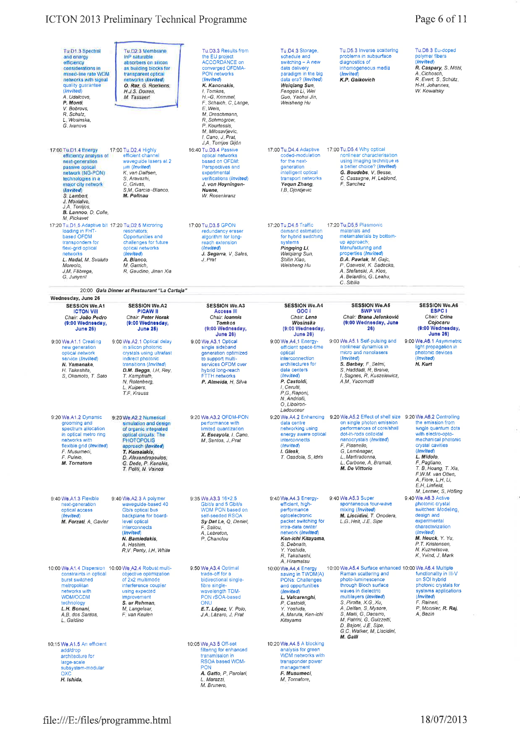| Tu.D1.3 Spectral<br>and energy<br>efficiency<br>considerations in<br>mixed-line rate WDM<br>networks with signal<br>quality guarantee<br>(Invited)<br>A. Udalcovs,<br>P. Monti.<br>V. Bobrovs,<br>R. Schatz,<br>L. Wosinska,<br>G. Ivanovs               | Tu.D2.3 Membrane<br>InP saturable<br>absorbers on silicon<br>as building blocks for<br>transparent optical<br>networks (Invited)<br>O. Raz, G. Roelkens,<br>H.J.S. Dorren,<br>M. Tassaert                                            | Tu.D3.3 Results from<br>the EU project<br><b>ACCORDANCE on</b><br>converged OFDMA-<br>PON networks<br>(Invited)<br>K. Kanonakis.<br>I. Tomkos.<br>H.-G. Krimmel,<br>F. Schaich, C. Lange,<br>E. Weis.<br>M. Dreschmann,<br>R. Schmogrow,<br>P. Kourtessis,<br>M. Milosavljevic,<br>I. Cano, J. Prat, | Tu D4 3 Storage,<br>schedule and<br>switching - A new<br>data delivery<br>paradigm in the big<br>data era? (Invited)<br>Weigiang Sun,<br>Fenggin Li, Wei<br>Guo, Yaohui Jin.<br>Weisheng Hu                                      | Tu.D5.3 Inverse scattering<br>problems in subsurface<br>diagnostics of<br>inhomogeneous media<br>(Invited)<br>K.P. Gaikovich                                                                                                                                                                                                                         | Tu.D8.3 Eu-doped<br>polymer fibers<br>(Invited)<br>R. Caspary, S. Möhl,<br>A. Cichosch.<br>R. Evert, S. Schütz,<br>H-H Johannes,<br>W. Kowalsky                                                                                                                       |
|----------------------------------------------------------------------------------------------------------------------------------------------------------------------------------------------------------------------------------------------------------|--------------------------------------------------------------------------------------------------------------------------------------------------------------------------------------------------------------------------------------|------------------------------------------------------------------------------------------------------------------------------------------------------------------------------------------------------------------------------------------------------------------------------------------------------|----------------------------------------------------------------------------------------------------------------------------------------------------------------------------------------------------------------------------------|------------------------------------------------------------------------------------------------------------------------------------------------------------------------------------------------------------------------------------------------------------------------------------------------------------------------------------------------------|-----------------------------------------------------------------------------------------------------------------------------------------------------------------------------------------------------------------------------------------------------------------------|
| 17:00 Tu, D1.4 Energy<br>officiency analysis of<br>noxt-generation<br>passive optical<br>network (NG-PON)<br>technologies in a<br>major city network<br>(Invited)<br>S. Lambert.<br>J. Montaivo,<br>J A Torrijos,<br>B. Lannoo, D. Colle.<br>M. Pickavet | 17:00 Tu.D2.4 Highly<br>efficient channel<br>wavequide lasers at 2<br>um (Invited)<br>K, van Dalfsen,<br>S. Aravazhi.<br>C. Grivas,<br>S.M. García-Blanco.<br>M. Polinau                                                             | J.A. Torrijos Gijón<br>16:40 Tu.D3.4 Passive<br>optical networks<br>based on OFDM:<br>Perspectives and<br>experimental<br>verifications (Invited)<br>J. von Hoyningen-<br>Huene.<br>W. Rosenkranz                                                                                                    | 17:00 Tu.D4.4 Adaptive<br>coded-modulation<br>for the next-<br>generation<br>intelligent optical<br>transport networks<br>Yequn Zhang,<br>I.B. Djordjevic                                                                        | 17:00 Tu, D5.4 Why optical<br>nonlinear characterisation<br>using imaging technique is<br>a better choice? (Invited)<br>G. Boudebs, V. Besse,<br>C. Cassagne, H. Leblond,<br>F. Sanchez                                                                                                                                                              |                                                                                                                                                                                                                                                                       |
| 17:20 Tu, D1 5 Adaptive bit 17:20 Tu D2.5 Microring<br>loading in FHT-<br>based OFDM<br>transponders for<br>flexi-grid optical<br>networks<br>L. Nadal, M. Svaluto<br>Moreolo,<br>J.M. Fàbrega,<br>G. Junyent                                            | resonators.<br>Opportunities and<br>challenges for future<br>optical networks<br>(Invited)<br>A. Bianco.<br>M. Garrich,<br>R. Gaudino, Jinan Xia                                                                                     | 17:00 Tu D3.5 GPON<br>redundancy eraser<br>algorithm for long-<br>reach extension<br>(Invited)<br>J. Segarra, V. Sales,<br>J. Prat                                                                                                                                                                   | 17:20 Tu D4.5 Traffic<br>demand estimation<br>for hybrid switching<br>systems<br>Pingqing Li,<br>Weigiang Sun,<br>Shilin Xiao,<br>Weisheng Hu                                                                                    | 17:20 Tu D5.5 Plasmonic<br>materials and<br>metamaterials by bottom-<br>up approach.<br>Manufacturing and<br>properties (Invited)<br>D.A. Pawlak, M. Gajc,<br>P. Osewski, K. Sadecka,<br>A. Stefanski, A. Klos,<br>A. Belardini, G. Leahu,<br>C. Sibilia                                                                                             |                                                                                                                                                                                                                                                                       |
|                                                                                                                                                                                                                                                          | 20:00 Gala Dinner at Restaurant "La Cartuja"                                                                                                                                                                                         |                                                                                                                                                                                                                                                                                                      |                                                                                                                                                                                                                                  |                                                                                                                                                                                                                                                                                                                                                      |                                                                                                                                                                                                                                                                       |
| Wednesday, June 26<br><b>SESSION We.A1</b><br><b>ICTON VIII</b><br>Chair: João Pedro<br>(9:00 Wednesday,<br><b>June 26)</b>                                                                                                                              | <b>SESSION We.A2</b><br><b>PICAW II</b><br>Chair: Peter Horak<br>(9:00 Wednesday,<br><b>June 26)</b>                                                                                                                                 | <b>SESSION We A3</b><br>Access III<br>Chair: Ioannis<br>Tomkos<br>(9:00 Wednesday,<br><b>June 26)</b>                                                                                                                                                                                                | <b>SESSION We.A4</b><br>GOC I<br>Chair: Lena<br>Wosinska<br>(9:00 Wednesday,<br><b>June 26)</b>                                                                                                                                  | <b>SESSION We.A5</b><br><b>SWP VIII</b><br>Chair: Brana Jelenković<br>(9:00 Wednesday, June<br>26)                                                                                                                                                                                                                                                   | <b>SESSION We.A6</b><br><b>ESPC1</b><br>Chair: Crina<br>Coiocaru<br>(9:00 Wednesday,<br><b>June 26)</b>                                                                                                                                                               |
| 9:00 We.A1.1 Creating<br>new generation<br>optical network<br>service (Invited)<br>N. Yamanaka,<br>H. Takeshita,<br>S. Okamoto, T. Sato                                                                                                                  | 9:00 We.A2.1 Optical delay<br>in silicon photonic<br>crystals using ultrafast<br>indirect photonic<br>transitions (Invited)<br>D.M. Beggs, LH. Rey,<br>T. Kampfrath,<br>N. Rotenberg,<br>L. Kuipers,<br>T.F. Krauss                  | 9:00 We A3.1 Optical<br>single sideband<br>generation optimized<br>to support multi-<br>services OFDM over<br>hybrid long-reach<br><b>FTTH networks</b><br>P. Almeida, H. Silva                                                                                                                      | 9:00 We A4.1 Energy-<br>efficient space-time<br>oplical<br>interconnection<br>architectures for<br>dala centers<br>(Invited)<br>P. Castoldi.<br>I. Cerutti,<br>P.G. Raponi.<br>N. Andriolli,<br>O. Liboiron-<br>Ladouceur        | 9:00 We.A5.1 Self-pulsing and<br>nonlinear dynamics in<br>micro and nanolasers<br>(Invited)<br>S. Barbay, F. Selmi,<br>S. Haddadi, R. Braive,<br>I. Sagnes, R. Kuszelewicz,<br>A.M. Yacomotti                                                                                                                                                        | 9:00 We.A6.1 Asymmetric<br>light propagation in<br>photonic devices<br>(Invited)<br>H. Kurt                                                                                                                                                                           |
| 9:20 We.A1.2 Dynamic<br>grooming and<br>spectrum allocation<br>in optical metro ring<br>networks with<br>flexible grid (Invited)<br>F. Musumeci.<br>F. Puleio,<br>M. Tornatore                                                                           | 9:20 We.A2.2 Numerical<br>simulation and design<br>of organic integrated<br>optical circuits: The<br><b>PHOTOPOLIS</b><br>approach (Invited)<br>T. Kamalakis,<br>D. Alexandropoulos,<br>G. Dede, P. Kanakis,<br>T. Politi, N. Vainos | 9:20 We.A3.2 OFDM-PON<br>performance with<br>limited quantization<br>X. Escavola, I. Cano.<br>M. Santos, J. Prat                                                                                                                                                                                     | 9:20 We.A4.2 Enhancing<br>data centre<br>networking using<br>energy aware optical<br>interconnects<br>(Invited)<br>I. Glesk<br>T. Osadola, S. Idris                                                                              | 9:20 We.A5.2 Effect of shell size<br>on single photon emission<br>performances of core/shell<br>dot-in-rods colloidal<br>nanocrystals (Invited)<br>F. Pisanello.<br>G. Leménager,<br>L. Martiradonna,<br>L. Carbone, A. Bramati,<br>M. De Vittorio                                                                                                   | 9:20 We A6.2 Controlling<br>the emission from<br>single quantum dots<br>with electro-opto-<br>mechanical photonic<br>crystal cavities<br>(Invited)<br>L. Midolo,<br>F. Pagliano,<br>T. B. Hoang, T. Xia.<br>F.W.M. van Otten.<br>A. Fiore, L.H. Li,<br>E.H. Linfield, |
| 9:40 We, A1.3 Flexible<br>next-generation<br>optical access<br>(Invited)<br>M. Forzati, A. Gavler                                                                                                                                                        | 9:40 We.A2.3 A polymer<br>waveguide-based 40<br>Gb/s optical bus<br>backplane for board-<br>level optical<br>interconnects<br>(Invited)<br>N. Bamiedakis.<br>A. Hashim,<br>R.V. Penty, I.H. White                                    | 9:35 We.A3.3 16×2.5<br>Gbit/s and 5 Gbit/s<br>WDM PON based on<br>self-seeded RSOA<br>Sy Dat Le, Q. Deniel,<br>F. Saliou,<br>A. Lebreton,<br>P. Chanclou                                                                                                                                             | 9:40 We.A4.3 Energy-<br>efficient, high-<br>performance<br>optoelectronic<br>packet switching for<br>intra-data center<br>network (Invited)<br>Ken-ichi Kitayama,<br>S. Debnath,<br>Y. Yoshida,<br>R. Takahashi,<br>A. Hiramatsu | 9:40 We.A5.3 Super<br>spontaneous four-wave<br>mixing (Invited)<br>M. Liscidini, T. Onodera,<br>L.G. Helt, J.E. Sipe                                                                                                                                                                                                                                 | M. Lermer, S. Höfling<br>9:40 We.A8.3 Active<br>photonic crystal<br>switches: Modeling<br>design and<br>experimental<br>characterization<br>(Invited)<br>M. Heuck, Y. Yu,<br>P.T. Kristensen,<br>N. Kuznetsova,<br>K. Yvind, J. Mørk                                  |
| constraints in optical<br>burst switched<br>metropolitan<br>networks with<br>WDM/OCDM<br>technology<br>L.H. Bonani<br>A.B. dos Santos,<br>L. Galdino                                                                                                     | 10:00 We.A1.4 Dispersion 10:00 We.A2.4 Robust multi-<br>objective optimization<br>of 2x2 multimode<br>interference coupler<br>using expected<br>improvement<br>S. ur Rehman,<br>M. Langelaar,<br>F van Keulen                        | 9:50 We A3.4 Optimal<br>trade-off for a<br>bidirectional single-<br>fibre single-<br>wavelength TDM-<br>PON rSOA-based<br><b>ONU</b><br>E.T. López, V. Polo,<br>J.A. Lázaro, J. Prat                                                                                                                 | 10:00 We.A4.4 Energy<br>saving in TWDM(A)<br>PONs: Challenges<br>and opportunities<br>(Invited)<br>L. Valcarenghi.<br>P. Castoldi,<br>Y. Yoshida,<br>A. Maruta, Ken-ichi<br>Kitayama                                             | 10:00 We.A5.4 Surface enhanced 10:00 We.A6.4 Multiple<br>Raman scattering and<br>photo-luminescence<br>through Bloch surface<br>waves in dielectric<br>multilayers (Invited)<br>S. Pirotta, X.G. Xu,<br>A Delfan, S Mysore,<br>S. Maiti, G. Dacarro,<br>M. Patrini, G. Guizzetti,<br>D. Bajoni, J.E. Sipe,<br>G.C. Walker, M. Liscidini,<br>M. Galli | functionality in III-V<br>on SOI hybrid<br>photonic crystals for<br>systems applications<br>(Invited)<br>F. Raineri,<br>P. Monnier, R. Raj,<br>A. Bazin                                                                                                               |
| 10:15 We, A1.5 An efficient<br>add/drop<br>architecture for<br>large-scale<br>subsystem-modular<br><b>OXC</b><br>H. Ishida,                                                                                                                              |                                                                                                                                                                                                                                      | 10:05 We A3.5 Off-set<br>filtering for enhanced<br>transmission in<br>RSOA based WDM-<br><b>PON</b><br>A. Gatto, P. Parolari,<br>L. Marazzi,<br>M. Brunero,                                                                                                                                          | 10:20 We, A4.5 A blocking<br>analysis for green<br>WDM networks with<br>transponder power<br>management<br>F. Musumeci.<br>M. Tornatore,                                                                                         |                                                                                                                                                                                                                                                                                                                                                      |                                                                                                                                                                                                                                                                       |

 $\bar{\Sigma}$